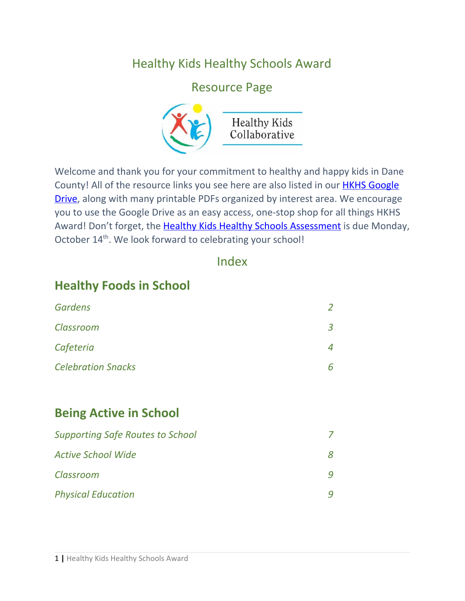### Healthy Kids Healthy Schools Award

#### Resource Page



Welcome and thank you for your commitment to healthy and happy kids in Dane County! All of the resource links you see here are also listed in our **HKHS [Google](https://drive.google.com/drive/folders/1XAE8Upa-7T0DmlMdVSsKn11JSIjPYhtN?usp=sharing)** [Drive,](https://drive.google.com/drive/folders/1XAE8Upa-7T0DmlMdVSsKn11JSIjPYhtN?usp=sharing) along with many printable PDFs organized by interest area. We encourage you to use the Google Drive as an easy access, one-stop shop for all things HKHS Award! Don't forget, the Healthy Kids Healthy Schools [Assessment](https://uwmadison.co1.qualtrics.com/jfe/form/SV_9B0hEJVmekCsqbP) is due Monday, October 14<sup>th</sup>. We look forward to celebrating your school!

#### Index

#### **Healthy Foods in School**

| <b>Gardens</b>            |                         |
|---------------------------|-------------------------|
| Classroom                 | $\overline{\mathbf{z}}$ |
| Cafeteria                 |                         |
| <b>Celebration Snacks</b> |                         |

#### **Being Active in School**

| <b>Supporting Safe Routes to School</b> |  |
|-----------------------------------------|--|
| <b>Active School Wide</b>               |  |
| Classroom                               |  |
| <b>Physical Education</b>               |  |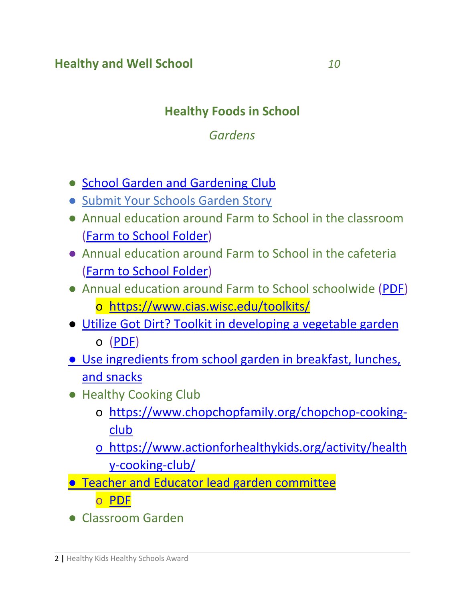#### **Healthy and Well School** *10*

## **Healthy Foods in School**

#### *Gardens*

- [School Garden and Gardening Club](https://www.actionforhealthykids.org/activity/school-garden)
- [Submit Your Schools Garden Story](https://wischoolgardens.org/garden-stories/)
- Annual education around Farm to School in the classroom [\(Farm to School Folder\)](https://drive.google.com/drive/folders/1JTfnZaB1DKA3OQyyEvae_sdLVHLUarot?usp=sharing)
- Annual education around Farm to School in the cafeteria [\(Farm to School Folder\)](https://drive.google.com/drive/folders/1JTfnZaB1DKA3OQyyEvae_sdLVHLUarot?usp=sharing)
- Annual education around Farm to School schoolwide [\(PDF](https://drive.google.com/file/d/1XB9mr7fAJLHTZgiidvlEw4AbH-bdrnry/view?usp=sharing)) o <https://www.cias.wisc.edu/toolkits/>
- [Utilize Got Dirt? Toolkit in developing a vegetable garden](https://www.dhs.wisconsin.gov/publications/p4/p40112.pdf) o [\(PDF](https://drive.google.com/file/d/1Jj6_phSIKDqDK4JSn0N0F8Lc-j0s9_wn/view?usp=sharing))
- [Use ingredients from school garden in breakfast, lunches,](http://www.thelunchbox.org/recipes-menus/recipes/?search_term=fs&search_field=RecipeNumber&category_filter=) [and snacks](http://www.thelunchbox.org/recipes-menus/recipes/?search_term=fs&search_field=RecipeNumber&category_filter=)
- Healthy Cooking Club
	- o [https://www.chopchopfamily.org/chopchop-cooking](https://www.chopchopfamily.org/chopchop-cooking-club)[club](https://www.chopchopfamily.org/chopchop-cooking-club)
	- o [https://www.actionforhealthykids.org/activity/health](https://www.actionforhealthykids.org/activity/healthy-cooking-club/) [y-cooking-club/](https://www.actionforhealthykids.org/activity/healthy-cooking-club/)
- **[Teacher and Educator lead garden committee](https://kidsgardening.org/create-sustain-a-program-forming-a-garden-committee/)** 
	- o [PDF](https://drive.google.com/file/d/1k9WHRsZ6UIKChAPLqoiDajkasb3IdTDs/view?usp=sharing)
- Classroom Garden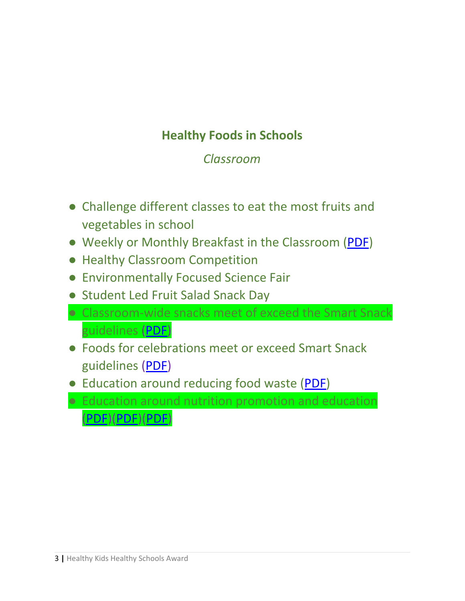# **Healthy Foods in Schools**

#### *Classroom*

- Challenge different classes to eat the most fruits and vegetables in school
- Weekly or Monthly Breakfast in the Classroom ([PDF\)](https://drive.google.com/file/d/1oAh_CCWi4-5xrtzEhggEcZ4-Q5X3oGVq/view?usp=sharing)
- Healthy Classroom Competition
- Environmentally Focused Science Fair
- Student Led Fruit Salad Snack Day
- Classroom-wide snacks meet of exceed the Smart Snack guidelines ([PDF](https://drive.google.com/file/d/1Q_z2F_MIYcqzWR5FvcOBvFWeMx2SlK_G/view?usp=sharing))
- Foods for celebrations meet or exceed Smart Snack guidelines ([PDF](https://drive.google.com/file/d/1Q_z2F_MIYcqzWR5FvcOBvFWeMx2SlK_G/view?usp=sharing))
- Education around reducing food waste ([PDF\)](https://drive.google.com/file/d/1X1V49srdYiQTPATiVACwfhaSrMIzMssa/view?usp=sharing)
- Education around nutrition promotion and education [\(PDF](https://drive.google.com/file/d/1cN3hxQWdxnw6gRUHacUUzTdBCKN9RjuF/view?usp=sharing))[\(PDF\)](https://drive.google.com/file/d/1ggVct7PL7a2_-asHXi3TwGXTJL9Z6eAX/view?usp=sharing)([PDF](https://drive.google.com/file/d/1E-2svuEgrmoE-osjYWM403CcPFrDlWfx/view?usp=sharing))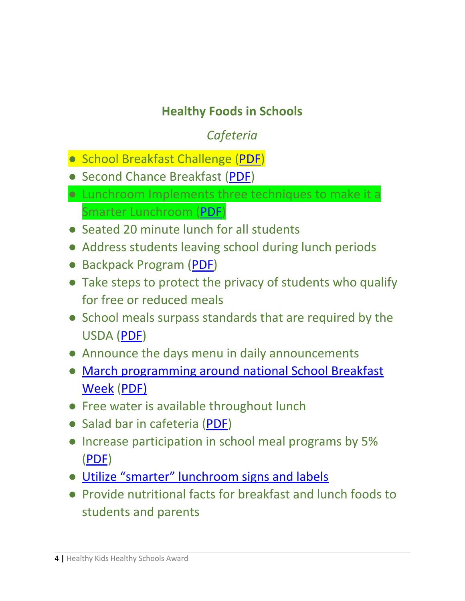## **Healthy Foods in Schools**

# *Cafeteria*

- School Breakfast Challenge ([PDF\)](https://drive.google.com/file/d/1mYMumaftLp8mpqTsvliBMhDqKf-rS0vy/view?usp=sharing)
- Second Chance Breakfast ([PDF](https://drive.google.com/file/d/1cnhdG611FvCNkFgoH7HgP_jkZEzzI_G0/view?usp=sharing))
- Lunchroom Implements three techniques to make it a Smarter Lunchroom [\(PDF](https://drive.google.com/file/d/1bxq4tsvdWe8iLFf0nyPrp73p9mpyd2fq/view?usp=sharing))
- Seated 20 minute lunch for all students
- Address students leaving school during lunch periods
- Backpack Program ([PDF](https://drive.google.com/file/d/1Wlw_tSWFD0xTpm9DHhwqfRGeUod7YpZx/view?usp=sharing))
- Take steps to protect the privacy of students who qualify for free or reduced meals
- School meals surpass standards that are required by the USDA ([PDF\)](https://drive.google.com/file/d/1W4klWkSzZaKTifKi3UZUldnjNRLzd6HI/view?usp=sharing)
- Announce the days menu in daily announcements
- [March programming around national School Breakfast](https://schoolnutrition.org/Meetings/Events/NSBW/2020/) [Week](https://schoolnutrition.org/Meetings/Events/NSBW/2020/) ([PDF\)](https://drive.google.com/open?id=11KgXfYPHPzMS5kZl8LA3Mp21PNCXF-wc)
- Free water is available throughout lunch
- Salad bar in cafeteria ([PDF](https://drive.google.com/file/d/1uaYQajDiR2o7ueFpCD9iM5LjGDY3-Cp_/view?usp=sharing))
- Increase participation in school meal programs by 5% [\(PDF](https://drive.google.com/file/d/18_3EUAe__itYNjQQtbfTmJE95ZcN0m1A/view?usp=sharing))
- [Utilize "smarter" lunchroom signs and labels](https://www.smarterlunchrooms.org/scorecard-tools/print-your-own-smarter-lunchrooms-signs-and-labels)
- Provide nutritional facts for breakfast and lunch foods to students and parents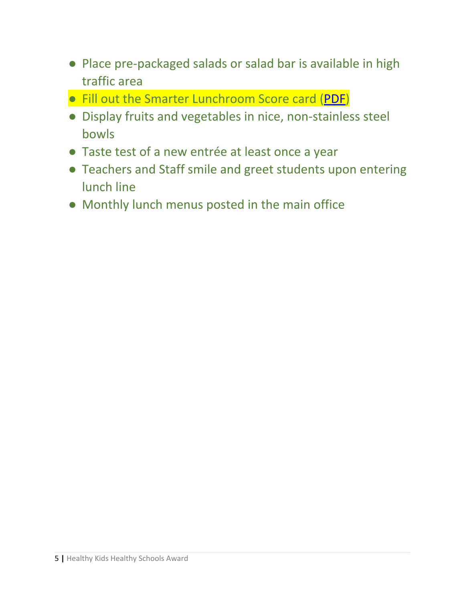- Place pre-packaged salads or salad bar is available in high traffic area
- Fill out the Smarter Lunchroom Score card ([PDF](https://drive.google.com/file/d/1bxq4tsvdWe8iLFf0nyPrp73p9mpyd2fq/view?usp=sharing))
- Display fruits and vegetables in nice, non-stainless steel bowls
- Taste test of a new entrée at least once a year
- Teachers and Staff smile and greet students upon entering lunch line
- Monthly lunch menus posted in the main office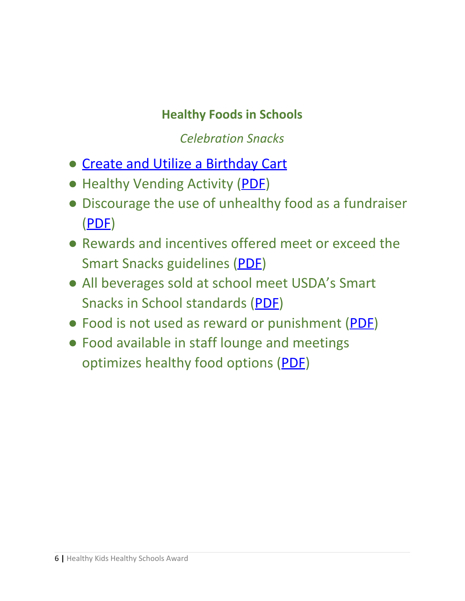### **Healthy Foods in Schools**

*Celebration Snacks*

- Create and Utilize a [Birthday](https://wicancer.org/wischoolwellness/wi-success-story-birthday-carts-at-riverside/) Cart
- Healthy Vending Activity ([PDF\)](https://drive.google.com/file/d/1nlx-QnTQGPiPRqoQKEtXlNhfdHhDVARE/view?usp=sharing)
- Discourage the use of unhealthy food as a fundraiser [\(PDF\)](https://drive.google.com/file/d/1AKH4DNSKZo5WP0p7xhk_HWBSsxVuxxmN/view?usp=sharing)
- Rewards and incentives offered meet or exceed the Smart Snacks guidelines [\(PDF\)](https://drive.google.com/file/d/1RURmskQBKN6aP9SQWzKFtBf6ezlPltO6/view?usp=sharing)
- All beverages sold at school meet USDA's Smart Snacks in School standards ([PDF\)](https://drive.google.com/file/d/1RURmskQBKN6aP9SQWzKFtBf6ezlPltO6/view?usp=sharing)
- Food is not used as reward or punishment [\(PDF\)](https://drive.google.com/file/d/11nVatiBi-sETJXXc-JY1kopWLrFHT7o5/view?usp=sharing)
- Food available in staff lounge and meetings optimizes healthy food options [\(PDF](https://drive.google.com/file/d/10xyAxqQeoWS9LXYiy7DyQG5g8VFyUq4_/view?usp=sharing))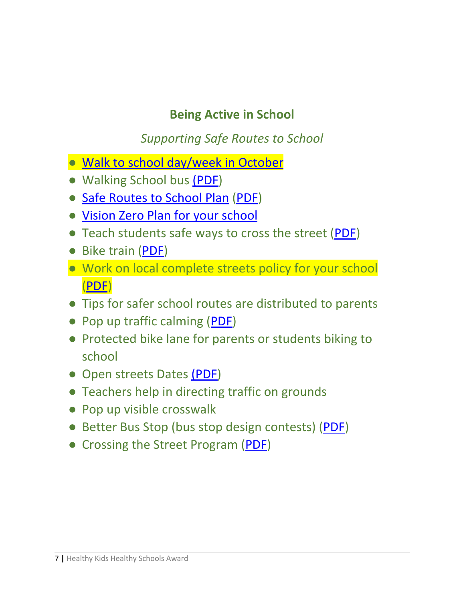## **Being Active in School**

*Supporting Safe Routes to School*

- [Walk to school day/week in October](http://www.walkbiketoschool.org/)
- Walking School bus [\(PDF\)](https://drive.google.com/file/d/1XcKiQYblnhEse8LF3SQ8N2TLxgCyVJqc/view?usp=sharing)
- [Safe Routes to School Plan](http://guide.saferoutesinfo.org/) [\(PDF](https://drive.google.com/file/d/12P61W6tU6bY0BCibH6xxqrh9xXYlXvIJ/view?usp=sharing))
- [Vision Zero Plan for your school](http://www.visionzeroforyouth.org/)
- Teach students safe ways to cross the street [\(PDF](https://drive.google.com/file/d/1WgFgWTF7TTFT4WMn_Zf_H21rxR4S8iJN/view?usp=sharing))
- Bike train ([PDF\)](https://drive.google.com/file/d/1iF3BbcCUONjpQGheD-YIRfYrHS8QfgnT/view?usp=sharing)
- Work on local complete streets policy for your school [\(PDF](https://drive.google.com/file/d/1rzz6CN9ExmNkMfB8N-xRciSFe4R7pG0h/view?usp=sharing))
- Tips for safer school routes are distributed to parents
- Pop up traffic calming ([PDF](https://drive.google.com/file/d/1I-hp_a-9AHZewragfpmOP0zue5dUQk_k/view?usp=sharing))
- Protected bike lane for parents or students biking to school
- Open streets Dates [\(PDF](https://drive.google.com/file/d/1ItQydO8k8r94jMoHepwofvK4mQ1tbub2/view?usp=sharing))
- Teachers help in directing traffic on grounds
- Pop up visible crosswalk
- Better Bus Stop (bus stop design contests) [\(PDF](https://drive.google.com/file/d/1i1N6A8XeD6RkjiCyNhJHRBQfA7IFvScu/view?usp=sharing))
- Crossing the Street Program ([PDF\)](https://drive.google.com/file/d/1hMM97H86HUBFcn75N6k2MK2llNY3jkuZ/view?usp=sharing)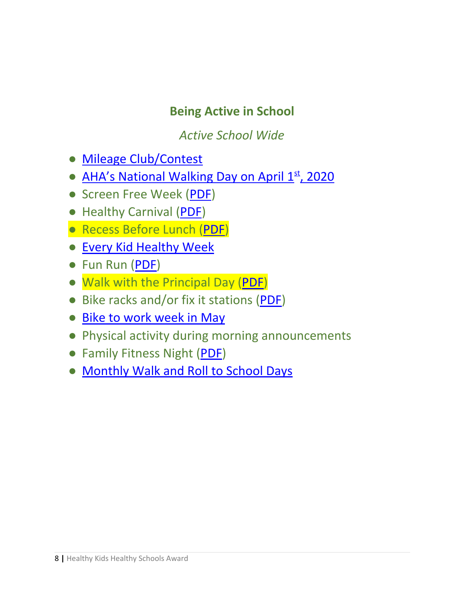### **Being Active in School**

*Active School Wide*

- [Mileage Club/Contest](https://www.fitnessfinders.net/Mileage-Club-s/322.htm)
- [AHA's National Walking Day on April 1](https://nationaldaycalendar.com/national-walking-day-first-wednesday-in-april/)<sup>[st](https://nationaldaycalendar.com/national-walking-day-first-wednesday-in-april/)</sup>[, 2020](https://nationaldaycalendar.com/national-walking-day-first-wednesday-in-april/)
- Screen Free Week ([PDF](https://drive.google.com/file/d/1ncyvAkI9evnxNEq2Gfd6TU75Zv_Dw3Zt/view?usp=sharing))
- Healthy Carnival [\(PDF\)](https://drive.google.com/file/d/1jDrLKemp9egA3c0qwu7sqNnLzOFz7XQu/view?usp=sharing)
- Recess Before Lunch ([PDF](https://drive.google.com/file/d/1jAby9LaovYTTSTTspBwrMo2_F0MhQHlB/view?usp=sharing))
- [Every Kid Healthy Week](http://www.everykidhealthyweek.org/)
- Fun Run ([PDF](https://drive.google.com/file/d/1venNdw_T9ZKCpVHwjykClZz3JYxZAGcP/view?usp=sharing))
- Walk with the Principal Day ([PDF](https://drive.google.com/open?id=1oa6OK-X2f6IT6okFY95CudOzZ9ngxTqG))
- Bike racks and/or fix it stations [\(PDF\)](https://drive.google.com/file/d/1QRneW8W_0stvQr-6T3lE9M4XWVD5QzSx/view?usp=sharing)
- [Bike to work week in May](https://bikeleague.org/bikemonth)
- Physical activity during morning announcements
- Family Fitness Night ([PDF](https://drive.google.com/file/d/1XbeIJqkJkoYSblhapKnZo7ezE42eWBXL/view?usp=sharing))
- [Monthly Walk and Roll to School Days](http://www.walkbiketoschool.org/)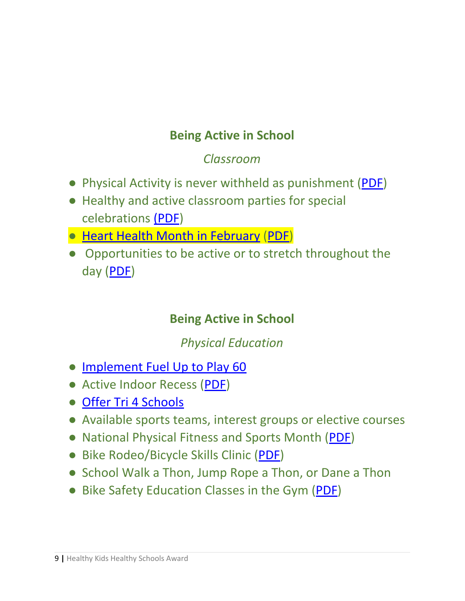# **Being Active in School**

### *Classroom*

- Physical Activity is never withheld as punishment ([PDF\)](https://drive.google.com/file/d/1I6_XGAza9JQstCymXVnuNOTDZ8-7qW-A/view?usp=sharing)
- Healthy and active classroom parties for special celebrations [\(PDF](https://drive.google.com/file/d/1WyUPBE9BQNeqY7DneaXiK-xz2ak_kx5t/view?usp=sharing))
- [Heart Health Month in February](https://www.heartandstroke.ca/get-healthy/healthy-kids/heart-healthy-lesson-plans) [\(PDF\)](https://drive.google.com/file/d/1r0ceB3sTvIlqoUW4-1YJnvyPrQAIZhkJ/view?usp=sharing)
- Opportunities to be active or to stretch throughout the day ([PDF](https://drive.google.com/file/d/11xxgLtHX0dfgLzgZKlpFz_4URNUreQxi/view?usp=sharing))

## **Being Active in School**

## *Physical Education*

- [Implement Fuel Up to Play 60](https://www.fueluptoplay60.com/)
- Active Indoor Recess ([PDF\)](https://drive.google.com/file/d/1a4XbgQBOXfFIkUdX3Ncoabj9vM1s_R2O/view?usp=sharing)
- [Offer Tri 4 Schools](https://tri4schools.org/)
- Available sports teams, interest groups or elective courses
- National Physical Fitness and Sports Month ([PDF\)](https://drive.google.com/file/d/18YceFnttwOkKz2miQs69ERB7w7e5yYTl/view?usp=sharing)
- Bike Rodeo/Bicycle Skills Clinic ([PDF\)](https://drive.google.com/file/d/1ZnhrSZqTo8KpKpOE_pab2-8iuAdf3Msa/view?usp=sharing)
- School Walk a Thon, Jump Rope a Thon, or Dane a Thon
- Bike Safety Education Classes in the Gym ([PDF\)](https://drive.google.com/file/d/10X1fvYudhqERUU14dT_blrIdC1G24VT2/view?usp=sharing)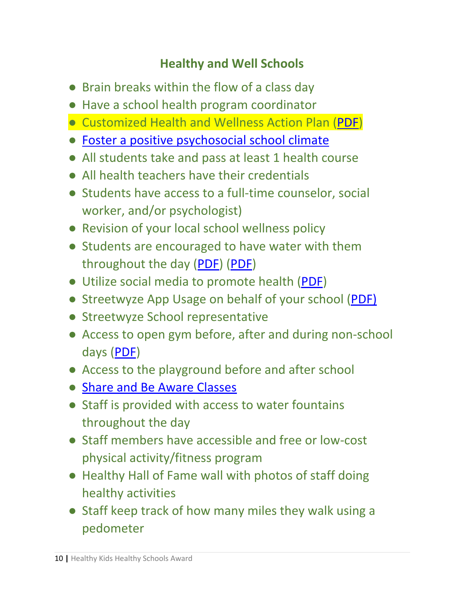## **Healthy and Well Schools**

- Brain breaks within the flow of a class day
- Have a school health program coordinator
- Customized Health and Wellness Action Plan ([PDF](https://drive.google.com/file/d/1SREhw24yGO8Qi5rVEseGM2ejc3wt4eW2/view?usp=sharing))
- [Foster a positive psychosocial school climate](https://www.cdc.gov/healthyschools/wscc/index.htm)
- All students take and pass at least 1 health course
- All health teachers have their credentials
- Students have access to a full-time counselor, social worker, and/or psychologist)
- Revision of your local school wellness policy
- Students are encouraged to have water with them throughout the day ([PDF\)](https://drive.google.com/file/d/17tdLlT4TZ9r8gaGSvYXkU2Rz6GxX8Vgy/view?usp=sharing) ([PDF](https://drive.google.com/file/d/1u_uq58_B6IJf6xi6CotP54l9WE_Ks46Q/view?usp=sharing))
- Utilize social media to promote health ([PDF](https://drive.google.com/file/d/1H2nDl7bLU4q7xXELinyk4701J0Htb54_/view?usp=sharing))
- Streetwyze App Usage on behalf of your school ([PDF\)](https://drive.google.com/file/d/1ZYM6Z5ncpiGnYxwUiB85O7PtzDJf3xOK/view?usp=sharing)
- Streetwyze School representative
- Access to open gym before, after and during non-school days ([PDF](https://drive.google.com/file/d/1FGCJzCQ_o59NXv4OEVwFzbG85Iy4dHCG/view?usp=sharing))
- Access to the playground before and after school
- [Share and Be Aware Classes](https://wisconsinbikefed.org/)
- Staff is provided with access to water fountains throughout the day
- Staff members have accessible and free or low-cost physical activity/fitness program
- Healthy Hall of Fame wall with photos of staff doing healthy activities
- Staff keep track of how many miles they walk using a pedometer